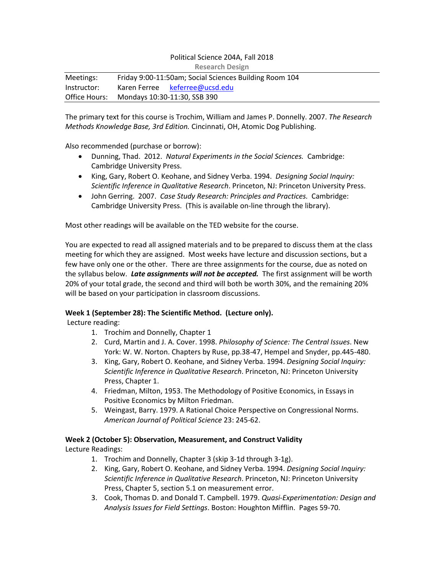# Political Science 204A, Fall 2018 **Research Design** Meetings: Friday 9:00-11:50am; Social Sciences Building Room 104 Instructor: Karen Ferree [keferree@ucsd.edu](mailto:keferree@ucsd.edu) Office Hours: Mondays 10:30-11:30, SSB 390

The primary text for this course is Trochim, William and James P. Donnelly. 2007. *The Research Methods Knowledge Base, 3rd Edition.* Cincinnati, OH, Atomic Dog Publishing.

Also recommended (purchase or borrow):

- Dunning, Thad. 2012. *Natural Experiments in the Social Sciences.* Cambridge: Cambridge University Press.
- King, Gary, Robert O. Keohane, and Sidney Verba. 1994. *Designing Social Inquiry: Scientific Inference in Qualitative Research*. Princeton, NJ: Princeton University Press.
- John Gerring. 2007. *Case Study Research: Principles and Practices.* Cambridge: Cambridge University Press. (This is available on-line through the library).

Most other readings will be available on the TED website for the course.

You are expected to read all assigned materials and to be prepared to discuss them at the class meeting for which they are assigned. Most weeks have lecture and discussion sections, but a few have only one or the other. There are three assignments for the course, due as noted on the syllabus below. *Late assignments will not be accepted.* The first assignment will be worth 20% of your total grade, the second and third will both be worth 30%, and the remaining 20% will be based on your participation in classroom discussions.

# **Week 1 (September 28): The Scientific Method. (Lecture only).**

Lecture reading:

- 1. Trochim and Donnelly, Chapter 1
- 2. Curd, Martin and J. A. Cover. 1998. *Philosophy of Science: The Central Issues*. New York: W. W. Norton. Chapters by Ruse, pp.38-47, Hempel and Snyder, pp.445-480.
- 3. King, Gary, Robert O. Keohane, and Sidney Verba. 1994. *Designing Social Inquiry: Scientific Inference in Qualitative Research*. Princeton, NJ: Princeton University Press, Chapter 1.
- 4. Friedman, Milton, 1953. The Methodology of Positive Economics, in Essays in Positive Economics by Milton Friedman.
- 5. Weingast, Barry. 1979. A Rational Choice Perspective on Congressional Norms. *American Journal of Political Science* 23: 245-62.

### **Week 2 (October 5): Observation, Measurement, and Construct Validity**

Lecture Readings:

- 1. Trochim and Donnelly, Chapter 3 (skip 3-1d through 3-1g).
- 2. King, Gary, Robert O. Keohane, and Sidney Verba. 1994. *Designing Social Inquiry: Scientific Inference in Qualitative Research*. Princeton, NJ: Princeton University Press, Chapter 5, section 5.1 on measurement error.
- 3. Cook, Thomas D. and Donald T. Campbell. 1979. *Quasi-Experimentation: Design and Analysis Issues for Field Settings*. Boston: Houghton Mifflin. Pages 59-70.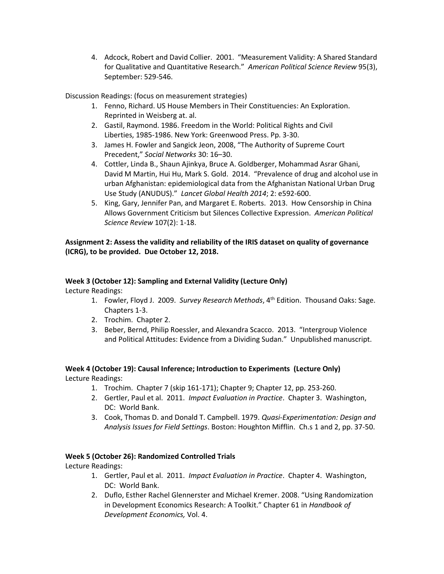4. Adcock, Robert and David Collier. 2001. "Measurement Validity: A Shared Standard for Qualitative and Quantitative Research." *American Political Science Review* 95(3), September: 529-546.

Discussion Readings: (focus on measurement strategies)

- 1. Fenno, Richard. US House Members in Their Constituencies: An Exploration. Reprinted in Weisberg at. al.
- 2. Gastil, Raymond. 1986. Freedom in the World: Political Rights and Civil Liberties, 1985-1986. New York: Greenwood Press. Pp. 3-30.
- 3. James H. Fowler and Sangick Jeon, 2008, "The Authority of Supreme Court Precedent," *Social Networks* 30: 16–30.
- 4. Cottler, Linda B., Shaun Ajinkya, Bruce A. Goldberger, Mohammad Asrar Ghani, David M Martin, Hui Hu, Mark S. Gold. 2014. "Prevalence of drug and alcohol use in urban Afghanistan: epidemiological data from the Afghanistan National Urban Drug Use Study (ANUDUS)." *Lancet Global Health 2014*; 2: e592-600.
- 5. King, Gary, Jennifer Pan, and Margaret E. Roberts. 2013. How Censorship in China Allows Government Criticism but Silences Collective Expression. *American Political Science Review* 107(2): 1-18.

**Assignment 2: Assess the validity and reliability of the IRIS dataset on quality of governance (ICRG), to be provided. Due October 12, 2018.**

### **Week 3 (October 12): Sampling and External Validity (Lecture Only)**

Lecture Readings:

- 1. Fowler, Floyd J. 2009. *Survey Research Methods*, 4<sup>th</sup> Edition. Thousand Oaks: Sage. Chapters 1-3.
- 2. Trochim. Chapter 2.
- 3. Beber, Bernd, Philip Roessler, and Alexandra Scacco. 2013. "Intergroup Violence and Political Attitudes: Evidence from a Dividing Sudan." Unpublished manuscript.

# **Week 4 (October 19): Causal Inference; Introduction to Experiments (Lecture Only)** Lecture Readings:

- 1. Trochim. Chapter 7 (skip 161-171); Chapter 9; Chapter 12, pp. 253-260.
- 2. Gertler, Paul et al. 2011. *Impact Evaluation in Practice*. Chapter 3. Washington, DC: World Bank.
- 3. Cook, Thomas D. and Donald T. Campbell. 1979. *Quasi-Experimentation: Design and Analysis Issues for Field Settings*. Boston: Houghton Mifflin. Ch.s 1 and 2, pp. 37-50.

# **Week 5 (October 26): Randomized Controlled Trials**

Lecture Readings:

- 1. Gertler, Paul et al. 2011. *Impact Evaluation in Practice*. Chapter 4. Washington, DC: World Bank.
- 2. Duflo, Esther Rachel Glennerster and Michael Kremer. 2008. "Using Randomization in Development Economics Research: A Toolkit." Chapter 61 in *Handbook of Development Economics,* Vol. 4.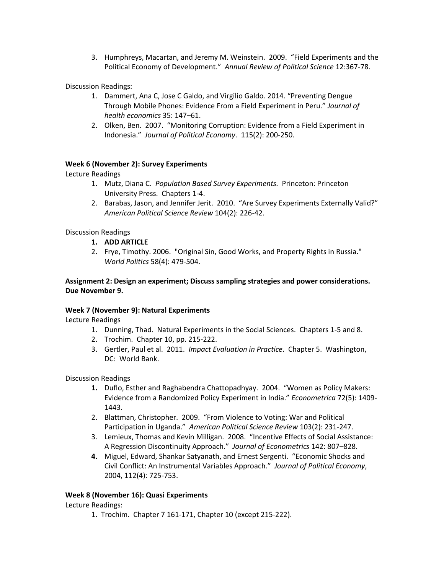3. Humphreys, Macartan, and Jeremy M. Weinstein. 2009. "Field Experiments and the Political Economy of Development." *Annual Review of Political Science* 12:367-78.

Discussion Readings:

- 1. Dammert, Ana C, Jose C Galdo, and Virgilio Galdo. 2014. "Preventing Dengue Through Mobile Phones: Evidence From a Field Experiment in Peru." *Journal of health economics* 35: 147–61.
- 2. Olken, Ben. 2007. "Monitoring Corruption: Evidence from a Field Experiment in Indonesia." *Journal of Political Economy*. 115(2): 200-250.

### **Week 6 (November 2): Survey Experiments**

Lecture Readings

- 1. Mutz, Diana C. *Population Based Survey Experiments.* Princeton: Princeton University Press. Chapters 1-4.
- 2. Barabas, Jason, and Jennifer Jerit. 2010. "Are Survey Experiments Externally Valid?" *American Political Science Review* 104(2): 226-42.

Discussion Readings

- **1. ADD ARTICLE**
- 2. Frye, Timothy. 2006. "Original Sin, Good Works, and Property Rights in Russia." *World Politics* 58(4): 479-504.

### **Assignment 2: Design an experiment; Discuss sampling strategies and power considerations. Due November 9.**

### **Week 7 (November 9): Natural Experiments**

Lecture Readings

- 1. Dunning, Thad. Natural Experiments in the Social Sciences. Chapters 1-5 and 8.
- 2. Trochim. Chapter 10, pp. 215-222.
- 3. Gertler, Paul et al. 2011. *Impact Evaluation in Practice*. Chapter 5. Washington, DC: World Bank.

Discussion Readings

- **1.** Duflo, Esther and Raghabendra Chattopadhyay. 2004. "Women as Policy Makers: Evidence from a Randomized Policy Experiment in India." *Econometrica* 72(5): 1409- 1443.
- 2. Blattman, Christopher. 2009. "From Violence to Voting: War and Political Participation in Uganda." *American Political Science Review* 103(2): 231-247.
- 3. Lemieux, Thomas and Kevin Milligan. 2008. "Incentive Effects of Social Assistance: A Regression Discontinuity Approach." *Journal of Econometrics* 142: 807–828.
- **4.** Miguel, Edward, Shankar Satyanath, and Ernest Sergenti. "Economic Shocks and Civil Conflict: An Instrumental Variables Approach." *Journal of Political Economy*, 2004, 112(4): 725-753.

### **Week 8 (November 16): Quasi Experiments**

Lecture Readings:

1. Trochim. Chapter 7 161-171, Chapter 10 (except 215-222).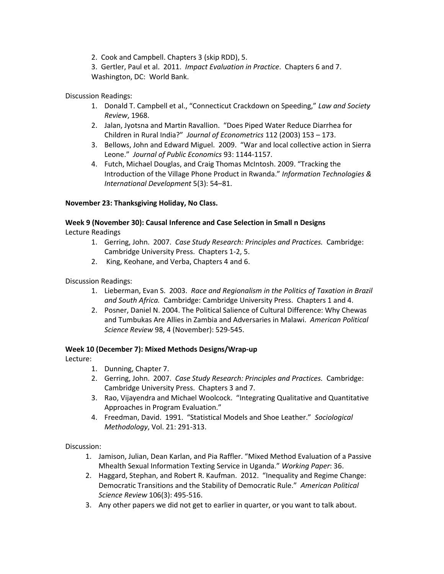2. Cook and Campbell. Chapters 3 (skip RDD), 5.

3. Gertler, Paul et al. 2011. *Impact Evaluation in Practice*. Chapters 6 and 7. Washington, DC: World Bank.

Discussion Readings:

- 1. Donald T. Campbell et al., "Connecticut Crackdown on Speeding," *Law and Society Review*, 1968.
- 2. Jalan, Jyotsna and Martin Ravallion. "Does Piped Water Reduce Diarrhea for Children in Rural India?" *Journal of Econometrics* 112 (2003) 153 – 173.
- 3. Bellows, John and Edward Miguel. 2009. "War and local collective action in Sierra Leone." *Journal of Public Economics* 93: 1144-1157.
- 4. Futch, Michael Douglas, and Craig Thomas McIntosh. 2009. "Tracking the Introduction of the Village Phone Product in Rwanda." *Information Technologies & International Development* 5(3): 54–81.

# **November 23: Thanksgiving Holiday, No Class.**

# **Week 9 (November 30): Causal Inference and Case Selection in Small n Designs**

Lecture Readings

- 1. Gerring, John. 2007. *Case Study Research: Principles and Practices.* Cambridge: Cambridge University Press. Chapters 1-2, 5.
- 2. King, Keohane, and Verba, Chapters 4 and 6.

Discussion Readings:

- 1. Lieberman, Evan S. 2003. *Race and Regionalism in the Politics of Taxation in Brazil and South Africa.* Cambridge: Cambridge University Press. Chapters 1 and 4.
- 2. Posner, Daniel N. 2004. The Political Salience of Cultural Difference: Why Chewas and Tumbukas Are Allies in Zambia and Adversaries in Malawi. *American Political Science Review* 98, 4 (November): 529-545.

# **Week 10 (December 7): Mixed Methods Designs/Wrap-up**

Lecture:

- 1. Dunning, Chapter 7.
- 2. Gerring, John. 2007. *Case Study Research: Principles and Practices.* Cambridge: Cambridge University Press. Chapters 3 and 7.
- 3. Rao, Vijayendra and Michael Woolcock. "Integrating Qualitative and Quantitative Approaches in Program Evaluation."
- 4. Freedman, David. 1991. "Statistical Models and Shoe Leather." *Sociological Methodology*, Vol. 21: 291-313.

Discussion:

- 1. Jamison, Julian, Dean Karlan, and Pia Raffler. "Mixed Method Evaluation of a Passive Mhealth Sexual Information Texting Service in Uganda." *Working Paper*: 36.
- 2. Haggard, Stephan, and Robert R. Kaufman. 2012. "Inequality and Regime Change: Democratic Transitions and the Stability of Democratic Rule." *American Political Science Review* 106(3): 495-516.
- 3. Any other papers we did not get to earlier in quarter, or you want to talk about.